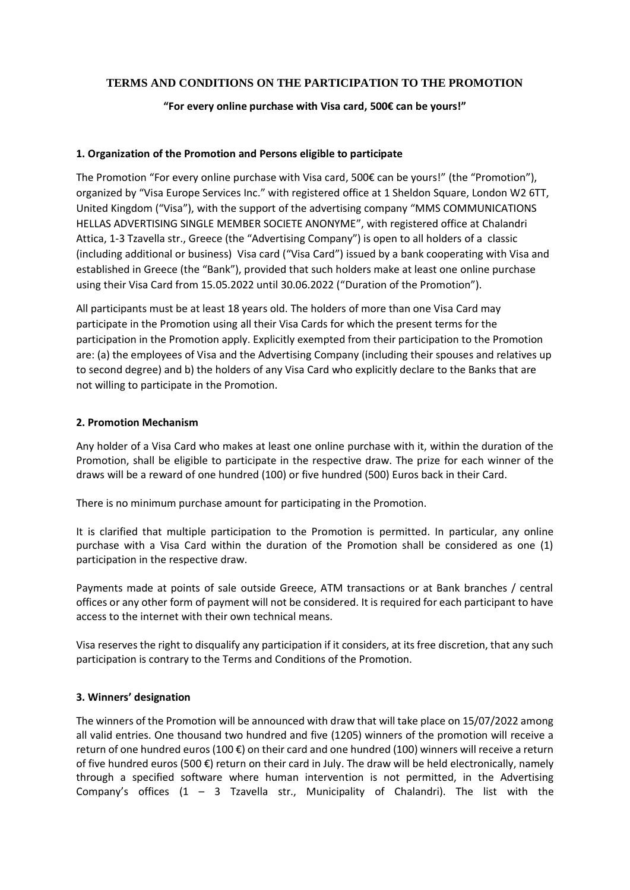# **TERMS AND CONDITIONS ON THE PARTICIPATION TO THE PROMOTION**

## **"For every online purchase with Visa card, 500€ can be yours!"**

### **1. Organization of the Promotion and Persons eligible to participate**

The Promotion "For every online purchase with Visa card, 500€ can be yours!" (the "Promotion"), organized by "Visa Europe Services Inc." with registered office at 1 Sheldon Square, London W2 6TT, United Kingdom ("Visa"), with the support of the advertising company "MMS COMMUNICATIONS HELLAS ADVERTISING SINGLE MEMBER SOCIETE ANONYME", with registered office at Chalandri Attica, 1-3 Tzavella str., Greece (the "Advertising Company") is open to all holders of a classic (including additional or business) Visa card ("Visa Card") issued by a bank cooperating with Visa and established in Greece (the "Bank"), provided that such holders make at least one online purchase using their Visa Card from 15.05.2022 until 30.06.2022 ("Duration of the Promotion").

All participants must be at least 18 years old. The holders of more than one Visa Card may participate in the Promotion using all their Visa Cards for which the present terms for the participation in the Promotion apply. Explicitly exempted from their participation to the Promotion are: (a) the employees of Visa and the Advertising Company (including their spouses and relatives up to second degree) and b) the holders of any Visa Card who explicitly declare to the Banks that are not willing to participate in the Promotion.

### **2. Promotion Mechanism**

Any holder of a Visa Card who makes at least one online purchase with it, within the duration of the Promotion, shall be eligible to participate in the respective draw. The prize for each winner of the draws will be a reward of one hundred (100) or five hundred (500) Euros back in their Card.

There is no minimum purchase amount for participating in the Promotion.

It is clarified that multiple participation to the Promotion is permitted. In particular, any online purchase with a Visa Card within the duration of the Promotion shall be considered as one (1) participation in the respective draw.

Payments made at points of sale outside Greece, ATM transactions or at Bank branches / central offices or any other form of payment will not be considered. It is required for each participant to have access to the internet with their own technical means.

Visa reserves the right to disqualify any participation if it considers, at its free discretion, that any such participation is contrary to the Terms and Conditions of the Promotion.

### **3. Winners' designation**

The winners of the Promotion will be announced with draw that will take place on 15/07/2022 among all valid entries. One thousand two hundred and five (1205) winners of the promotion will receive a return of one hundred euros (100 €) on their card and one hundred (100) winners will receive a return of five hundred euros (500 €) return on their card in July. The draw will be held electronically, namely through a specified software where human intervention is not permitted, in the Advertising Company's offices  $(1 - 3)$  Tzavella str., Municipality of Chalandri). The list with the